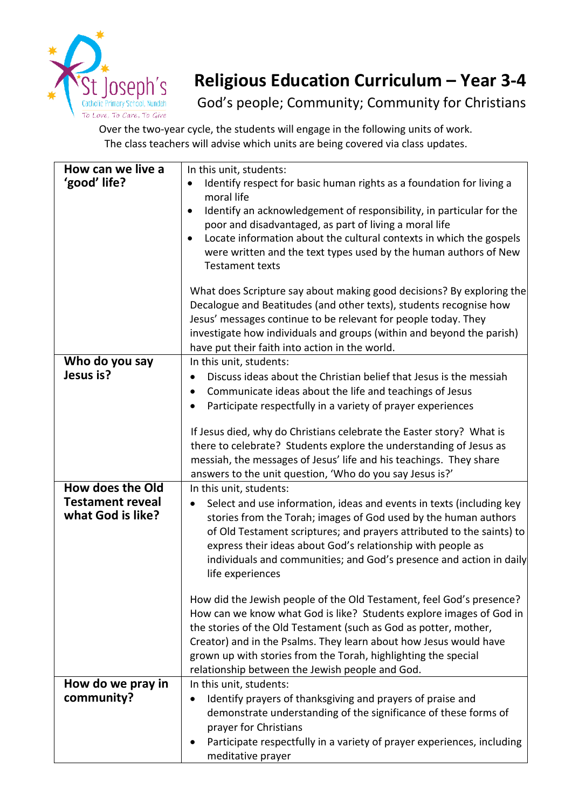

## **Religious Education Curriculum – Year 3-4**

God's people; Community; Community for Christians

Over the two-year cycle, the students will engage in the following units of work. The class teachers will advise which units are being covered via class updates.

| How can we live a<br>'good' life?                                | In this unit, students:<br>Identify respect for basic human rights as a foundation for living a<br>$\bullet$<br>moral life<br>Identify an acknowledgement of responsibility, in particular for the<br>$\bullet$<br>poor and disadvantaged, as part of living a moral life<br>Locate information about the cultural contexts in which the gospels<br>$\bullet$<br>were written and the text types used by the human authors of New<br><b>Testament texts</b>                                                  |
|------------------------------------------------------------------|--------------------------------------------------------------------------------------------------------------------------------------------------------------------------------------------------------------------------------------------------------------------------------------------------------------------------------------------------------------------------------------------------------------------------------------------------------------------------------------------------------------|
|                                                                  | What does Scripture say about making good decisions? By exploring the<br>Decalogue and Beatitudes (and other texts), students recognise how<br>Jesus' messages continue to be relevant for people today. They<br>investigate how individuals and groups (within and beyond the parish)<br>have put their faith into action in the world.                                                                                                                                                                     |
| Who do you say<br>Jesus is?                                      | In this unit, students:<br>Discuss ideas about the Christian belief that Jesus is the messiah<br>Communicate ideas about the life and teachings of Jesus<br>٠<br>Participate respectfully in a variety of prayer experiences<br>If Jesus died, why do Christians celebrate the Easter story? What is<br>there to celebrate? Students explore the understanding of Jesus as<br>messiah, the messages of Jesus' life and his teachings. They share<br>answers to the unit question, 'Who do you say Jesus is?' |
| How does the Old<br><b>Testament reveal</b><br>what God is like? | In this unit, students:<br>Select and use information, ideas and events in texts (including key<br>stories from the Torah; images of God used by the human authors<br>of Old Testament scriptures; and prayers attributed to the saints) to<br>express their ideas about God's relationship with people as<br>individuals and communities; and God's presence and action in daily<br>life experiences<br>How did the Jewish people of the Old Testament, feel God's presence?                                |
|                                                                  | How can we know what God is like? Students explore images of God in<br>the stories of the Old Testament (such as God as potter, mother,<br>Creator) and in the Psalms. They learn about how Jesus would have<br>grown up with stories from the Torah, highlighting the special<br>relationship between the Jewish people and God.                                                                                                                                                                            |
| How do we pray in<br>community?                                  | In this unit, students:<br>Identify prayers of thanksgiving and prayers of praise and<br>demonstrate understanding of the significance of these forms of<br>prayer for Christians<br>Participate respectfully in a variety of prayer experiences, including<br>meditative prayer                                                                                                                                                                                                                             |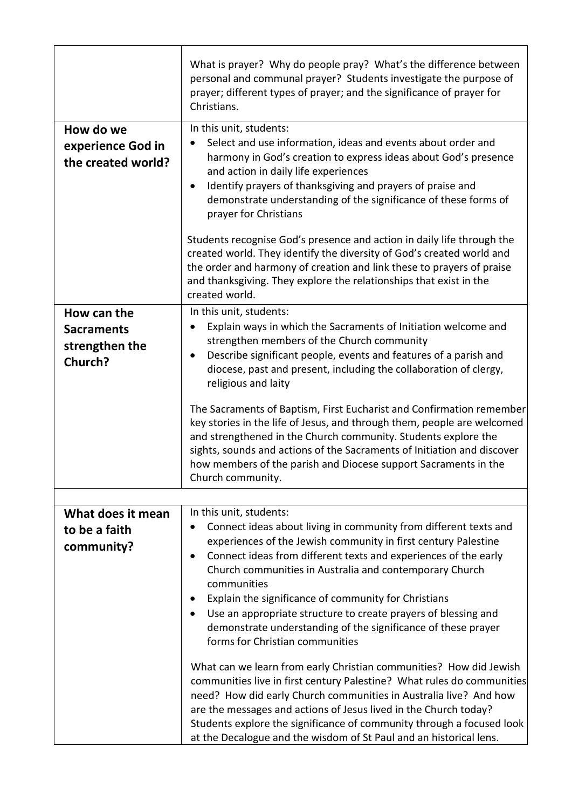|                                                               | What is prayer? Why do people pray? What's the difference between<br>personal and communal prayer? Students investigate the purpose of<br>prayer; different types of prayer; and the significance of prayer for<br>Christians.                                                                                                                                                                                                                                                                                                                                                           |
|---------------------------------------------------------------|------------------------------------------------------------------------------------------------------------------------------------------------------------------------------------------------------------------------------------------------------------------------------------------------------------------------------------------------------------------------------------------------------------------------------------------------------------------------------------------------------------------------------------------------------------------------------------------|
| How do we<br>experience God in<br>the created world?          | In this unit, students:<br>Select and use information, ideas and events about order and<br>harmony in God's creation to express ideas about God's presence<br>and action in daily life experiences<br>Identify prayers of thanksgiving and prayers of praise and<br>demonstrate understanding of the significance of these forms of<br>prayer for Christians<br>Students recognise God's presence and action in daily life through the<br>created world. They identify the diversity of God's created world and<br>the order and harmony of creation and link these to prayers of praise |
|                                                               | and thanksgiving. They explore the relationships that exist in the<br>created world.                                                                                                                                                                                                                                                                                                                                                                                                                                                                                                     |
| How can the<br><b>Sacraments</b><br>strengthen the<br>Church? | In this unit, students:<br>Explain ways in which the Sacraments of Initiation welcome and<br>strengthen members of the Church community<br>Describe significant people, events and features of a parish and<br>$\bullet$<br>diocese, past and present, including the collaboration of clergy,<br>religious and laity                                                                                                                                                                                                                                                                     |
|                                                               | The Sacraments of Baptism, First Eucharist and Confirmation remember<br>key stories in the life of Jesus, and through them, people are welcomed<br>and strengthened in the Church community. Students explore the<br>sights, sounds and actions of the Sacraments of Initiation and discover<br>how members of the parish and Diocese support Sacraments in the<br>Church community.                                                                                                                                                                                                     |
|                                                               |                                                                                                                                                                                                                                                                                                                                                                                                                                                                                                                                                                                          |
| What does it mean<br>to be a faith<br>community?              | In this unit, students:<br>Connect ideas about living in community from different texts and<br>experiences of the Jewish community in first century Palestine<br>Connect ideas from different texts and experiences of the early<br>Church communities in Australia and contemporary Church<br>communities                                                                                                                                                                                                                                                                               |
|                                                               | Explain the significance of community for Christians<br>$\bullet$<br>Use an appropriate structure to create prayers of blessing and<br>demonstrate understanding of the significance of these prayer<br>forms for Christian communities                                                                                                                                                                                                                                                                                                                                                  |
|                                                               | What can we learn from early Christian communities? How did Jewish<br>communities live in first century Palestine? What rules do communities<br>need? How did early Church communities in Australia live? And how<br>are the messages and actions of Jesus lived in the Church today?<br>Students explore the significance of community through a focused look<br>at the Decalogue and the wisdom of St Paul and an historical lens.                                                                                                                                                     |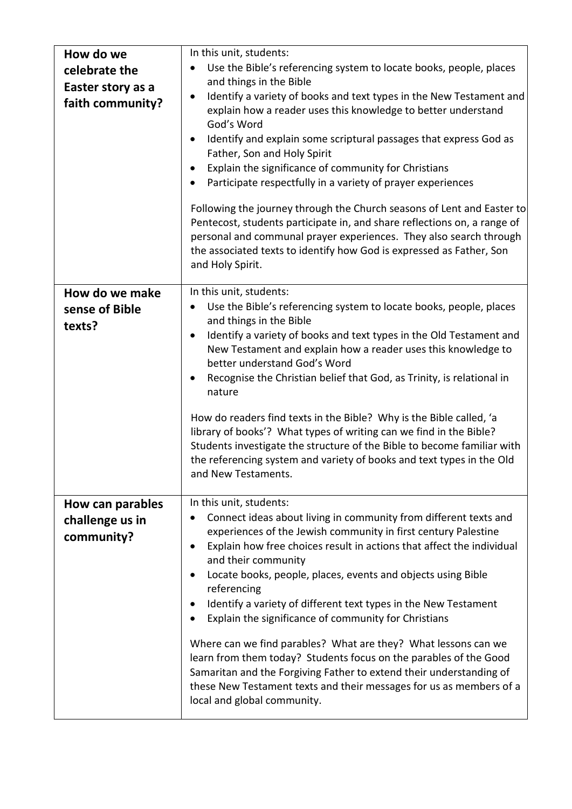| How do we<br>celebrate the<br>Easter story as a<br>faith community? | In this unit, students:<br>Use the Bible's referencing system to locate books, people, places<br>and things in the Bible<br>Identify a variety of books and text types in the New Testament and<br>$\bullet$<br>explain how a reader uses this knowledge to better understand<br>God's Word<br>Identify and explain some scriptural passages that express God as<br>$\bullet$<br>Father, Son and Holy Spirit<br>Explain the significance of community for Christians<br>٠<br>Participate respectfully in a variety of prayer experiences<br>Following the journey through the Church seasons of Lent and Easter to<br>Pentecost, students participate in, and share reflections on, a range of<br>personal and communal prayer experiences. They also search through<br>the associated texts to identify how God is expressed as Father, Son<br>and Holy Spirit. |
|---------------------------------------------------------------------|------------------------------------------------------------------------------------------------------------------------------------------------------------------------------------------------------------------------------------------------------------------------------------------------------------------------------------------------------------------------------------------------------------------------------------------------------------------------------------------------------------------------------------------------------------------------------------------------------------------------------------------------------------------------------------------------------------------------------------------------------------------------------------------------------------------------------------------------------------------|
| How do we make<br>sense of Bible<br>texts?                          | In this unit, students:<br>Use the Bible's referencing system to locate books, people, places<br>and things in the Bible<br>Identify a variety of books and text types in the Old Testament and<br>$\bullet$<br>New Testament and explain how a reader uses this knowledge to<br>better understand God's Word<br>Recognise the Christian belief that God, as Trinity, is relational in<br>٠<br>nature<br>How do readers find texts in the Bible? Why is the Bible called, 'a<br>library of books'? What types of writing can we find in the Bible?<br>Students investigate the structure of the Bible to become familiar with<br>the referencing system and variety of books and text types in the Old<br>and New Testaments.                                                                                                                                    |
| How can parables<br>challenge us in<br>community?                   | In this unit, students:<br>Connect ideas about living in community from different texts and<br>experiences of the Jewish community in first century Palestine<br>Explain how free choices result in actions that affect the individual<br>and their community<br>Locate books, people, places, events and objects using Bible<br>referencing<br>Identify a variety of different text types in the New Testament<br>Explain the significance of community for Christians<br>Where can we find parables? What are they? What lessons can we<br>learn from them today? Students focus on the parables of the Good<br>Samaritan and the Forgiving Father to extend their understanding of<br>these New Testament texts and their messages for us as members of a<br>local and global community.                                                                      |